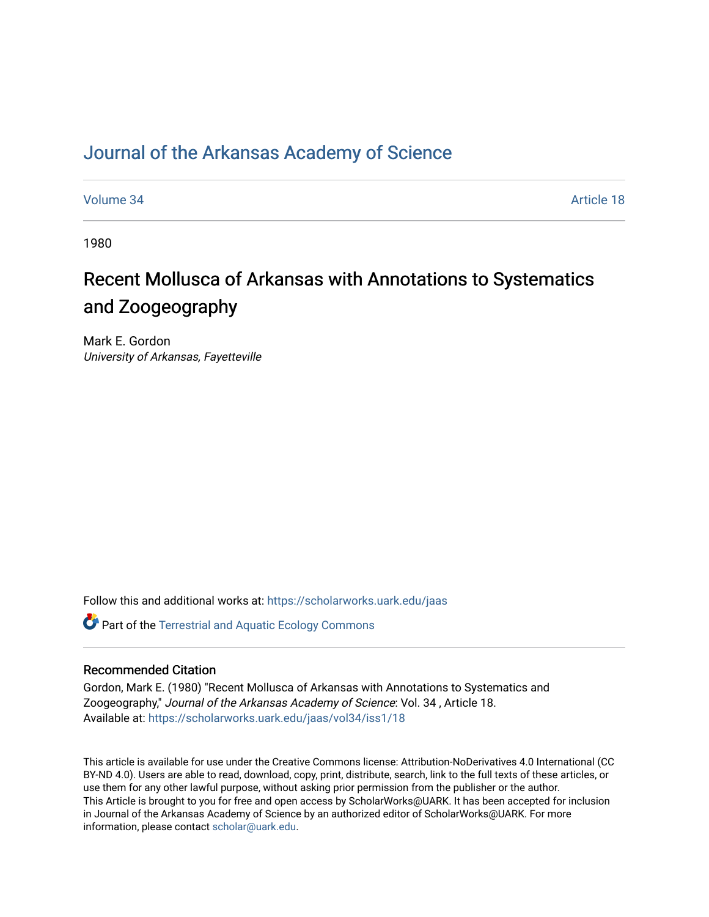## [Journal of the Arkansas Academy of Science](https://scholarworks.uark.edu/jaas)

[Volume 34](https://scholarworks.uark.edu/jaas/vol34) Article 18

1980

# Recent Mollusca of Arkansas with Annotations to Systematics and Zoogeography

Mark E. Gordon University of Arkansas, Fayetteville

Follow this and additional works at: [https://scholarworks.uark.edu/jaas](https://scholarworks.uark.edu/jaas?utm_source=scholarworks.uark.edu%2Fjaas%2Fvol34%2Fiss1%2F18&utm_medium=PDF&utm_campaign=PDFCoverPages) 

**Part of the Terrestrial and Aquatic Ecology Commons** 

### Recommended Citation

Gordon, Mark E. (1980) "Recent Mollusca of Arkansas with Annotations to Systematics and Zoogeography," Journal of the Arkansas Academy of Science: Vol. 34 , Article 18. Available at: [https://scholarworks.uark.edu/jaas/vol34/iss1/18](https://scholarworks.uark.edu/jaas/vol34/iss1/18?utm_source=scholarworks.uark.edu%2Fjaas%2Fvol34%2Fiss1%2F18&utm_medium=PDF&utm_campaign=PDFCoverPages)

This article is available for use under the Creative Commons license: Attribution-NoDerivatives 4.0 International (CC BY-ND 4.0). Users are able to read, download, copy, print, distribute, search, link to the full texts of these articles, or use them for any other lawful purpose, without asking prior permission from the publisher or the author. This Article is brought to you for free and open access by ScholarWorks@UARK. It has been accepted for inclusion in Journal of the Arkansas Academy of Science by an authorized editor of ScholarWorks@UARK. For more information, please contact [scholar@uark.edu.](mailto:scholar@uark.edu)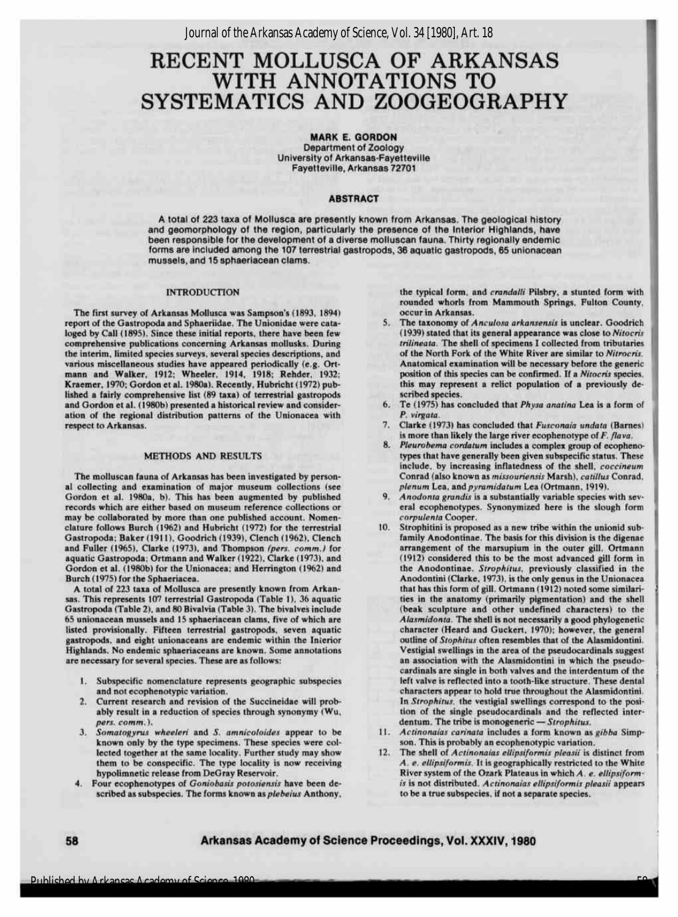### RECENT MOLLUSCA OF ARKANSAS WITH ANNOTATIONS TO SYSTEMATICS AND ZOOGEOGRAPHY

MARK E. GORDON Department of Zoology University of Arkansas-Fayetteville Fayetteville, Arkansas 72701

#### ABSTRACT

A total of 223 taxa of Mollusca are presently known from Arkansas. The geological history and geomorphology of the region, particularly the presence of the Interior Highlands, have been responsible for the development of a diverse molluscan fauna. Thirty regionally endemic forms are included among the 107 terrestrial gastropods, 36 aquatic gastropods, 65 unionacean mussels, and 15 sphaeriacean clams.

#### INTRODUCTION

The first survey of Arkansas Mollusca was Sampson's (1893, 1894) report of the Gastropoda and Sphaeriidae. The Unionidae were cataloged by Call (1895). Since these initial reports, there have been few comprehensive publications concerning Arkansas mollusks. During the interim, limited species surveys, several species descriptions, and various miscellaneous studies have appeared periodically (e.g. Ort-mann and Walker, 1912: Wheeler, 1914, 1918; Rehder, 1932; Kraemer, 1970; Gordon et al. 1980a). Recently, Hubricht (1972) published a fairly comprehensive list (89 taxa) of terrestrial gastropods and Gordon et al. (1980b) presented ahistorical review and consideration of the regional distribution patterns of the Unionacea with respect to Arkansas.

#### METHODS AND RESULTS

The molluscan fauna of Arkansas has been investigated by personal collecting and examination of major museum collections (see Gordon et al. 1980a, b). This has been augmented by published records which are either based on museum reference collections or may be collaborated by more than one published account. Nomenclature follows Burch (1962) and Hubricht (1972) for the terrestrial Gastropoda; Baker (1911), Goodrich (1939), Clench (1962), Clench and Fuller (1965), Clarke (1973), and Thompson (pers. comm.) for aquatic Gastropoda; Ortmann and Walker (1922), Clarke (1973), and Gordon et al. (1980b) for the Unionacea; and Herrington (1962) and Burch (1975) for the Sphaeriacea.

Atotal of <sup>223</sup> taxa of Mollusca are presently known from Arkansas. This represents <sup>107</sup> terrestrial Gastropoda (Table 1), 36 aquatic Gastropoda (Table 2), and 80Bivalvia (Table 3). The bivalves include 65 unionacean mussels and 15 sphaeriacean clams, five of which are listed provisionally. Fifteen terrestrial gastropods, seven aquatic gastropods, and eight unionaceans are endemic within the Interior Highlands. Noendemic sphaeriaceans are known. Some annotations are necessary for several species. These are as follows:

- 1. Subspecific nomenclature represents geographic subspecies and notecophenotypic variation.
- 2. Current research and revision of the Succineidae will probably result in a reduction of species through synonymy (Wu, pers. comm.).
- 3. Somatogyrus wheeleri and S. amnicoloides appear to be known only by the type specimens. These species were collected together at the same locality. Further study may show them to be conspecific. The type locality is now receiving hypolimnetic release from DeGray Reservoir.
- 4. Four ecophenotypes of Goniobasis potosiensis have been described as subspecies. The forms known as plebeius Anthony,

the typical form, and crandalli Pilsbry, a stunted form with rounded whorls from Mammouth Springs, Fulton County, occur inArkansas.

1

- 5. The taxonomy of Anculosa arkansensis is unclear. Goodrich The taxonomy of *Anculosa arkansensis* is unclear. Goodrich<br>(1939) stated that its general appearance was close to Nitocris<br>trilineata. The shell of specimens I collected from tributaries<br>of the North Fork of the White Biv of the North Fork of the White River are similar to Nitrocris. Anatomical examination will be necessary before the generic position of this species can be confirmed. If a Nitocris species, this may represent a relict population of a previously described species.
- 6. Te (1975) has concluded that Physa anatina Lea is a form of P. virgata.
- 7. Clarke (1973) has concluded that Fusconaia undata (Barnes) is more than likely the large river ecophenotype of  $F$ . flava.
- 8. Pleurobema cordatum includes a complex group of ecophenotypes that have generally been given subspecific status. These include, by increasing inflatedness of the shell, coccineum Conrad (also known as missouriensis Marsh), catillus Conrad, plenum Lea, and pyramidatum Lea (Ortmann, 1919).
- 9. Anodonta grandis is a substantially variable species with several ecophenotypes. Synonymized here is the slough form corpulenta Cooper.
- 10. Strophitini is proposed as a new tribe within the unionid subfamily Anodontinae. The basis for this division is the digenae arrangement of the marsupium in the outer gill. Ortmann (1912) considered this to be the most advanced gill form in the Anodontinae. Strophitus, previously classified in the Anodontini (Clarke, 1973), is the only genus in the Unionacea that has this form of gill. Ortmann (1912) noted some similarities in the anatomy (primarily pigmentation) and the shell (beak sculpture and other undefined characters) to the Alasmidonta. The shell is not necessarily a good phylogenetic character (Heard and Guckert, 1970); however, the general outline of Stophitus often resembles that of the Alasmidontini. Vestigial swellings in the area of the pseudocardinals suggest an association with the Alasmidontini in which the pseudocardinals are single in both valves and the interdentum of the left valve is reflected into a tooth-like structure. These dental characters appear to hold true throughout the Alasmidontini. In Strophitus. the vestigial swellings correspond to the position of the single pseudocardinals and the reflected interdentum. The tribe is monogeneric - Strophitus.
- 11. Actinonaias carinata includes a form known as gibba Simpson. This is probably an ecophenotypic variation.
- 12. The shell of Actinonaias ellipsiformis pleasii is distinct from A. e. ellipsiformis. It is geographically restricted to the White River system of the Ozark Plateaus in which A. e. ellipsiformis is not distributed. Actinonaias ellipsiformis pleasii appears to be a true subspecies, if not a separate species.

58

<sup>58</sup> Arkansas Academy of Science Proceedings, Vol.XXXIV,1980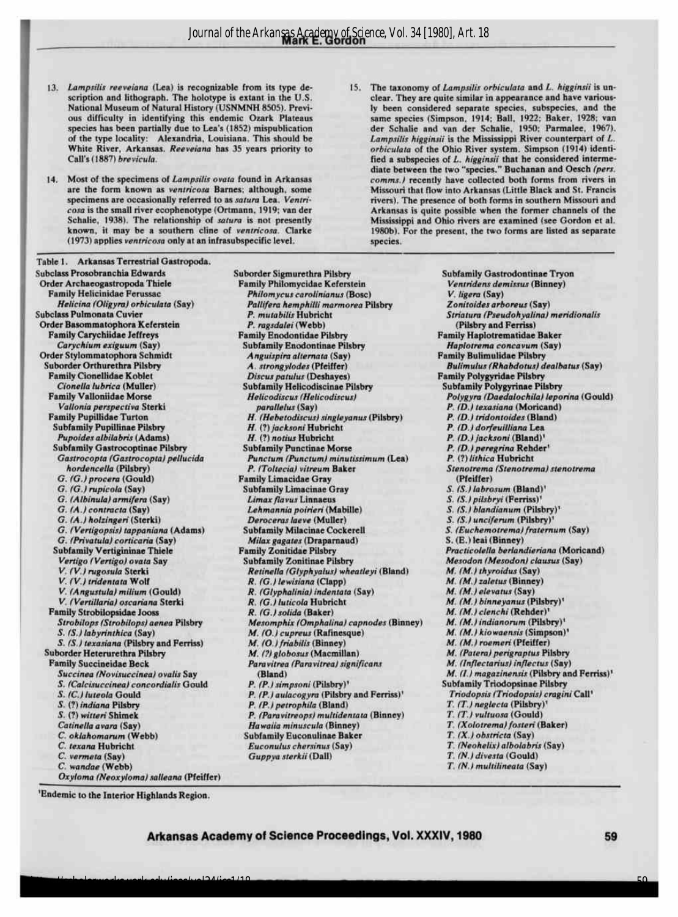13. Lampsilis reeveiana (Lea) is recognizable from its type description and lithograph. The holotype is extant in the U.S. National Museum of Natural History (USNMNH 8505). Previous difficulty in identifying this endemic Ozark Plateaus species has been partially due to Lea's (1852) mispublication of the type locality: Alexandria, Louisiana. This should be White River, Arkansas. Reeveiana has <sup>35</sup> years priority to Call's (1887) brevicula.

1

- 14. Most of the specimens of Lampsilis ovata found in Arkansas are the form known as ventricosa Barnes; although, some specimens are occasionally referred to as satura Lea. Ventricosa is the small river ecophenotype (Ortmann, 1919; van der Schalie, 1938). The relationship of satura is not presently known, it may be a southern cline of ventricosa. Clarke (1973) applies ventricosa onlyat an infrasubspecific level.
- 15. The taxonomy of Lampsilis orbiculata and L. higginsii is unclear. They are quite similar in appearance and have variously been considered separate species, subspecies, and the same species (Simpson, 1914; Ball, 1922; Baker, 1928; van der Schalie and van der Schalie, 1950; Parmalee, 1967). Lampsilis higginsiiis the Mississippi River counterpart of L. orbiculata of the Ohio River system. Simpson (1914) identified a subspecies of L. higginsii that he considered intermediate between the two "species." Buchanan and Oesch (pers. comms.) recently have collected both forms from rivers in Missouri that flow into Arkansas (Little Black and St. Francis rivers). The presence of both forms in southern Missouri and Arkansas is quite possible when the former channels of the Mississippi and Ohio rivers are examined (see Gordon et al. 1980b). For the present, the two forms are listed as separate species.

Table <sup>1</sup>. Arkansas Terrestrial Gastropoda. Subclass Prosobranchia Edwards Order Archaeogastropoda Thiele Family Helicinidae Ferussac Helicina (Oligyra) orbiculata (Say) Subclass Pulmonata Cuvier Order Basommatophora Keferstein FamilyCarychiidae Jeffreys Carychium exiguum (Say) Order Stylommatophora Schmidt Suborder Orthurethra Pilsbry FamilyCionellidae Koblet Cionella lubrica (Muller) Family Valloniidae Morse Vallonia perspectiva Sterki Family Pupillidae Turton Subfamily Pupillinae Pilsbry Pupoides albilabris (Adams) Subfamily Gastrocoptinae Pilsbry Gastrocopta (Gastrocopta) pellucida hordencella (Pilsbry) G. (G.)procera (Gould) G. (G.)rupicola (Say) G. (Albinula)armifera (Say) G. (A.)contracta (Say) G. (A.)holzingeri(Sterki) Subfamily Vertigininae Thiele Vertigo (Vertigo) ovata Say V.(V.)rugosula Sterki V. (V.) tridentata Wolf V.(Angustula) milium(Gould) V. (Vertillaria) oscariana Sterki Family Strobilopsidae Jooss Strobilops (Strobilops) aenea Pilsbry S. (S.)labyrinthica (Say) S. (S.) texasiana (Pilsbry and Ferriss) Suborder Heterurethra Pilsbry Family Succineidae Beck Succinea (Novisuccinea) ovalis Say S. (Calcisuccinea) concordialis Gould P. (P.)simpsoni (Pilsbry)' S. (C.) luteola Gould S. (?) indiana Pilsbry S. (?) witteri Shimek Catinella avara (Say) C. oklahomarum (Webb) C. texana Hubricht C. vermeta (Say) C. wandae (Webb) Oxyloma (Neoxyloma) salleana (Pfeiffer) G. (Vertigopsis) tappaniana (Adams) Subfamily Milacinae Cockere<br>G. (Privatula) corticaria (Say) Milax gagates (Draparnaud) G. (Privatula) corticaria (Say)

Suborder Sigmurethra Pilsbry FamilyPhilomycidae Keferstein Philomycus carolinianus (Bosc) Pallifera hemphilli marmorea Pilsbry P. mutabilis Hubricht P. ragsdalei (Webb) FamilyEnodontidae Pilsbry Subfamily Enodontinae Pilsbry Anguispira alternata (Say) A.strongylodes (Pfeiffer) Discus patulus (Deshayes) Subfamily Helicodiscinae Pilsbry Helicodiscus (Helicodiscus) parallelus(Say) H.(Hebetodiscus) singleyanus (Pilsbry) H.(?) jacksoni Hubricht H.(?) notius Hubricht Subfamily Punctinae Morse FamilyLimacidae Gray Subfamily Limacinae Gray Limax flavus Linnaeus Lehmannia poirieri(Mabille) Deroceras laeve (Muller)<br>Subfamily Milacinae Cockerell Family Zonitidae Pilsbry Subfamily Zonitinae Pilsbry R. (G.)lewisiana (Clapp) R. (Glyphalinia)indentata (Say) R. (G.) luticola Hubricht R. (G.) solida (Baker) M.(O.)friabilis(Binney) M.(?)globosus (Macmillan) Paravitrea (Paravitrea) significans (Bland) P. (P.) aulacogyra (Pilsbry and Ferriss)' P. (P.) petrophila (Bland) P. (Paravitreops) multidentata (Binney) Hawaiia minuscula (Binney) Subfamily Euconulinae Baker Euconulus chersinus (Say) Guppya sterkii (Dall) Punctum (Punctum) minutissimum (Lea) P. (?) lithica Hubricht P. (Toltecia) vitreum Baker Retinella (Glyphyalus) wheatleyi (Bland) M.(M.)thyroidus (Say) Mesomphix (Omphalina) capnodes (Binney) M.(M.)indianorum (Pilsbry)' M. (O.) cupreus (Rafinesque)

Subfamily Gastrodontinae Tryon Ventridens demissus (Binney) V. ligera (Say) Zonitoides arboreus (Say) Striatura (Pseudohyalina) meridionalis (Pilsbry and Ferriss) FamilyHaplotrematidae Baker Haplotrema concavum (Say) **Family Bulimulidae Pilsbry** Bulimulus (Rhabdotus) dealbatus (Say) Family Polygyridae Pilsbry Subfamily Polygyrinae Pilsbry Polygyra (Daedalochila) leporina (Gould) P. (D.) texasiana (Moricand) P. (D.) tridontoides (Bland) P. (D.) dorfeuilliana Lea P. (D.) jacksoni (Bland)'<br>P. (D.) persering Behder P. (D.)peregrina Render' Stenotrema (Stenotrema) stenotrema (Pfeiffer) S. (S.) labrosum (Bland)' 5. (S.)pilsbryi(Ferriss)' S. (S.) blandianum (Pilsbry)<sup>1</sup> S. (S.) unciferum (Pilsbry)' S. (Euchemotrema) fraternum (Say) S. (E.)leai(Binney) Practicolella berlandieriana (Moricand) Mesodon (Mesodon) clausus (Say) M. (M.)zaletus (Binney) M.(M.)elevatus (Say) M.(M.)binneyanus (Pilsbry)' M.(M.)clenchi(Render)' M. (M.) kiowaensis (Simpson)' M.(M.)roemeri (Pfeiffer) M.(Patera) perigraptus Pilsbry M.(Inflectarius)inflectus (Say) M. (I.) magazinensis (Pilsbry and Ferriss)<sup>1</sup> Subfamily Triodopsinae Pilsbry Triodopsis (Triodopsis) cragini Call<sup>1</sup> T. (T.) neglecta (Pilsbry)' T.(T.) vultuosa (Gould) T.(Xolotrema) fosteri (Baker) T.(X.)obstricta (Say) T.(Neohelix) albolabris (Say) T. (N.) divesta (Gould) T. (N.) multilineata (Say)

'Endemic to the Interior Highlands Region.

 $\frac{1}{2}$  heta $\frac{1}{2}$  heta $\frac{1}{2}$  heta $\frac{1}{2}$ /iss $\frac{1}{2}$ /iss $\frac{1}{2}$ /iss $\frac{1}{2}$ /iss $\frac{1}{2}$ /iss $\frac{1}{2}$ /iss $\frac{1}{2}$ /iss $\frac{1}{2}$ /iss $\frac{1}{2}$ /iss $\frac{1}{2}$ /iss $\frac{1}{2}$ /iss $\frac{1}{2}$ /iss $\frac{1}{2}$ /iss $\frac{1}{2}$ /

Arkansas Academy of Science Proceedings, Vol. XXXIV, 1980 59

59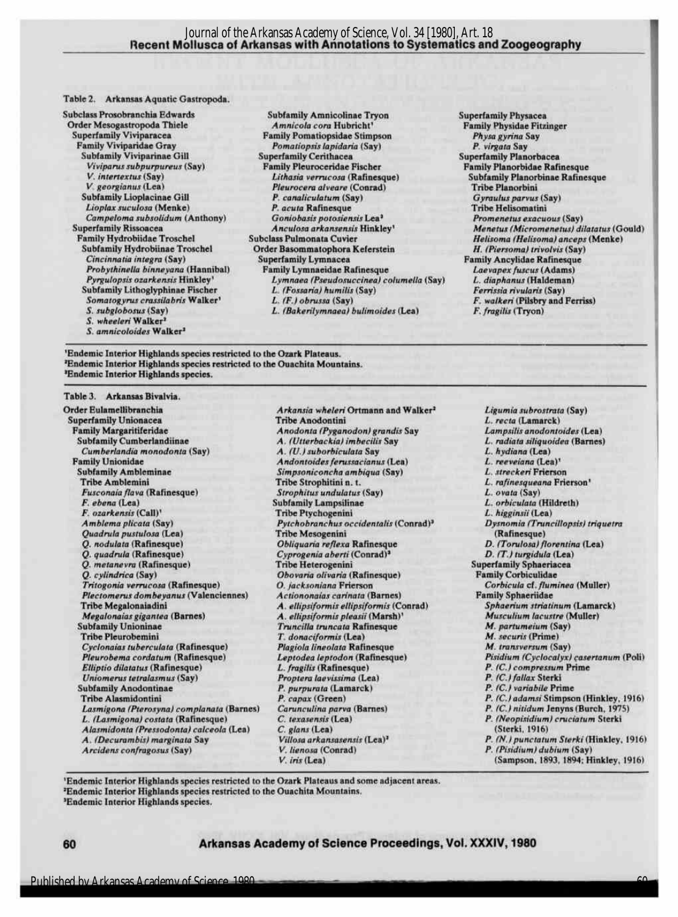#### Table 2. Arkansas Aquatic Gastropoda.

Order Mesogastropoda Thiele<br>Superfamily Viviparacea Subfamily Viviparinae Gill Superfamily Cerithacea<br>
Viviparus subpurpureus (Say) Family Pleuroceridae Fischer Campeloma subsolidum (Anthony) Goniobasis potosiensis Lea<sup>1</sup><br>Superfamily Rissoncea *Anculosa arkansensis* Hinkley' Subfamily Hydrobiinae Troschel Order Basommatophora Keferstein<br>Cincinnatia integra (Say) Superfamily Lymnacea Subfamily Lithoglyphinae Fischer L. (Fossaria) humilis (Somatogyrus crassilabris Walker' L. (F.) obrussa (Say) Somatogyrus crassilabris Walker <sup>1</sup> L. (F.) obrussa (Say) F. walkeri (Pilsbry and Ferriss)<br>S. subglobosus (Say) L. (Bakerilymnaea) bulimoides (Lea) F. fragilis (Tryon) S. wheeleri Walker<sup>2</sup> 5. amnicoloides Walker <sup>2</sup>

Subclass Prosobranchia Edwards Subfamily Amnicolinae Tryon Superfamily Physacea Superfamily Viviparacea **Family Pomatiopsidae Stimpson** Physa gyrina Superfamily Viviparacea **Family Pomatiopsidae Stimpson** Physa gyrina Say Pomatiopsis lapidaria (Say) P. virgata Say<br>
Superfamily Cerithacea<br>
Superfamily Planorbacea Viviparus subpurpureus (Say) Family Pleuroceridae Fischer Family Planorbidae Rafinesque<br>V. intertextus (Say) Lithasia verrucosa (Rafinesque) Subfamily Planorbinae Rafines V. intertextus (Say) **Lithasia verrucosa (Rafinesque)** Subfamily Planorbinae Rafinesque (Contability Planorbinae Rafinesque V. georgianus (Lea) Pleurocera alveare (Conrad) Tribe Planorbini<br>P. canaliculatum (Say) Gyraulus parvus (Say) Subfamily Lioplacinae Gill  $P.$  canaliculatum (Say)  $Gyraulus$   $Gyraulus$   $Gyraulus$   $Gyraulus$   $Gyraulus$   $Gyraulus$   $Gyraulus$   $Gyraulus$   $Gyrauus$  (Say) Lioplax suculosa (Menke) **P. acuta Rafinesque P. acuta Rafinesque** Tribe Helisomatini<br>Campeloma subsolidum (Anthony) Goniobasis potosiensis Lea<sup>3</sup> Promenetus exacuous (Say) Superfamily Rissoacea Anculosa arkansensis Hinkley<sup>1</sup> Menetus (Micromenetus) dilatatus (Gould)<br>1991 - Subclass Pulmonata Cuvier Melisoma (Helisoma (Helisoma) anceps (Menke) Family Hydrobiidae Troschel Subclass Pulmonata Cuvier Helisoma (Helisoma (Helisoma) anceps (Menke)<br>Subfamily Hydrobiinae Troschel Order Basommatophora Keferstein H. (Piersoma) trivolvis (Say) Cincilinnatia integra (Say) Superfamily Lymnacidae Rafinesque<br>Family Lymnacidae Rafinesque Family Laevapex fuscus (Adams) Probythinella binneyana (Hannibal) Family Lymnaeidae Rafinesque *Laevapex fuscus* (Adams)<br>Pyrgulopsis ozarkensis Hinkley<sup>1</sup> Lymnaea (Pseudosuccinea) columella (Say) L. diaphanus (Haldeman) **Lymnaea (Pseudosuccinea) columella (Say)** L. diaphanus (Haldeman)<br>L. (Fossaria) humilis (Say) **L. General Contains (Eventual** Cay) L. (Bakerilymnaea) bulimoides (Lea)

Family Physidae Fitzinger

I

'Endemic Interior Highlands species restricted to the Ozark Plateaus. <sup>2</sup>Endemic Interior Highlands species restricted to the Ouachita Mountains. 'Endemic Interior Highlands species.

#### Table 3. Arkansas Bivalvia.

Order Eulamellibranchia **Arkansia wheleri Ortmann and Walker<sup>2</sup> Ligumia** subrostrata (Say)<br>
Superfamily Unionacea **Tribe Anodontini** L. recta (Lamarck) Superfamily Unionacea **Superfamily Unionacea** Tribe Anodontini L. recta (Lamarck)<br>
Family Margaritiferidae **Anodontia (Pyganodon) grandis Say** Lampsilis anodontoides (Lea) Family Margaritiferidae Anodonta (Pyganodon) grandis Say<br>Subfamily Cumberlandiinae A. (Utterbackia) imbecilis Say Cumberlandia monodonta (Say) A. (U.)suborbiculata Say L.hydiana (Lea) Subfamily Ambleminae Simpsoniconcha ambiqua (Say) L. streckeri Fi<br>
Tribe Amblemini Tribe Strophitini n. t. L. rafinesqueana Fusconaia flava (Rafinesque) Strophitus undulatus (Say) L. ovata (Say) Fusconaia flava (Rafinesque) Strophitus undulatus (Say) L. Saylovata (Say) L. Subfamily Lampsilinae F. ozarkensis (Call)<sup>1</sup><br>1 Tribe Ptychogenini B. higginsii (Lea)<br>1 Dysnomia (Truncillopsis) triquetra<br>1 Pytchobranchus occidentalis (Conrad)<sup>3</sup> Dysnomia (Truncillopsis) triquetra Quadrula pustulosa (Lea) Tribe Mesogenini (Rafinesque) (Rafinesque) (Rafinesque) (Rafinesque) (D. (Torulosa) florentina (Lea) Q. nodulata (Rafinesque) Obliquaria reflexa Rafinesque D. (Torulosa) florentin<br>Q. quadrula (Rafinesque) Cyprogenia aberti (Conrad)<sup>3</sup> D. (T.) turgidula (Lea) Q. metanevra (Rafinesque) Tribe Heterogenini Superfamily Sphaeria<br>
Q. cylindrica (Say) Obovaria olivaria (Rafinesque) Family Corbiculidae Tritogonia verrucosa (Rafinesque) O. jacksoniana Frierson Corbicula cf. fluminea (Muller) Corbicula cf. fluminea (Muller) Orbicula cf. fluminea (Muller) de Corbicula cf. fluminea (Muller) de Actiononaias carinata (Barnes) Plectomerus dombeyanus (Valenciennes) Actiononaias carinata (Barnes) Family Sphaeriidae<br>1998 - Tribe Megalonaiadini *A. ellipsiformis ellipsiformis (Conrad*) Sphaerium striatinum (Lamarck) Tribe Megalonaiadini **A.ellipsiformis ellipsiformis (Conrad)** Sphaerium striatinum (Lamarck)<br>1997 Musculium Iacustre (Muller) A.ellipsiformis pleasii (Marsh)<sup>,</sup> Musculium Iacustre (Muller) Megalonaias gigantea (Barnes) *A. ellipsiformis pleasii* (Marsh)' Musculium lacustre (Muller)<br>Subfamily Unioninae **M. partumeium (Say)** Truncilla truncata Rafinesque M. partumeium (Say) Subfamily Unioninae **Subfamily Unioninae** Truncilla truncata Rafinesque M. *Partumeium* (Say)<br>
Subfamily Unioninae Truncata Truncata Rafinesque M. securis (Prime) Cyclonaias tuberculata (Rafinesque) Plagiola lineolata Rafinesque<br>Pleurobema cordatum (Rafinesque) Leptodea leptodon (Rafinesque) Elliptio dilatatus (Rafinesque) L.fragilis (Rafinesque) P. (C.) compressum P. (C.) compressum P. (C.) compressum Proptera laevissima (Lea) P. (C.) fallax Sterki Uniomerus tetralasmus (Say) Proptera laevissima (Lea) P. (C.) fallax Sterki<br>
P. (C.) variabile Prime P. purpurata (Lamarck) P. (C.) variabile Prime Subfamily Anodontinae P. purpurata (Lamarck) P. purpurata (Lamarck) P. (Camarck) P. (Camarck) P. (Camarck) P. (Camarck) P. (Camarck) P. (Camarck) P. (Camarck) P. (Camarck) P. (Camarck) P. (Camarck) P. (Camarck) P. (Camarck Lasmigona (Pterosyna) complanata (Barnes) Carunculina parva<br>L. (Lasmigona) costata (Rafinesque) C. texasensis (Lea) Alasmidonta (Pressodonta) calceola (Lea) C. glans (Lea)<br>A. (Decurambis) marginata Say Villosa arkansasensis (Lea)<sup>2</sup> Arcidens confragosus (Say) V. lienosa (Conrad) P. (Pisidium) dubitum (Paradium) dubitum) dubitum (Paradium) du<br>V. (Pisidium) dubitum (Say)

A. (Utterbackia) imbecilis Say L. radiata siliquoidea (Barnes)<br>A. (U.) suborbiculata Say L. hydiana (Lea) Family Andontoides ferussacianus (Lea)  $L$ . reeveiana (Lea)<sup>1</sup><br>Simpsoniconcha ambiaua (Sav)  $L$ . streckeri Frierson Simpsoniconcha ambiqua (Say) L. streckeri Frierson<br>
Tribe Strophitini n. t. (L. rafinesqueana Frierson) Vabfamily Lampsilinae L.orbiculata (Hildreth)<br>
Tribe Ptychogenini L. higginsii (Lea) Pytchobranchus occidentalis (Conrad)<sup>3</sup> Dysnomia (Truncillopsis) Dysnomia (Truncillopsis) tribus) tribus (Rafinesque) Cyprogenia aberti (Conrad)<sup>2</sup> D. (T.) turgidula (Lea)<br>Tribe Heterogenini Superfamily Sphaeriacea Obovaria olivaria (Rafinesque) Family Corbiculidae<br>
O. jacksoniana Frierson<br>
O. jacksoniana Frierson T. donaciformis (Lea) M. securis (Prime)<br>Plagiola lineolata Rafinesque M. transversum (Say) C. texasensis (Lea) <br>
C. glans (Lea) P. (Neopisidium) cruciatum Sterki<br>
C. glans (Lea) (Sterki, 1916)

**Leptodea leptodon (Rafinesque)** Pisidium (Cyclocalyx) casertanum (Poli)<br> **P.** (C.) compressum Prime P. capax (Green)<br>
P. (C.) adamsi Stimpson (Hinkley, 1916)<br>
P. (C.) nitidum Jenyns (Burch, 1975) Villosa arkansasensis (Lea)<sup>2</sup>  $P. (N.)$  punctatum Sterki (Hinkley, 1916)<br>V. lienosa (Conrad)  $P.$  (Pisidium) dubium (Say) (Sampson, 1893, 1894; Hinkley, 1916)

60

'Endemic Interior Highlands species restricted to the Ozark Plateaus and some adjacent areas. <sup>2</sup>Endemic Interior Highlands species restricted to the Ouachita Mountains. 'Endemic Interior Highlands species.

<sup>60</sup> Arkansas Academy of Science Proceedings, Vol.XXXIV,1980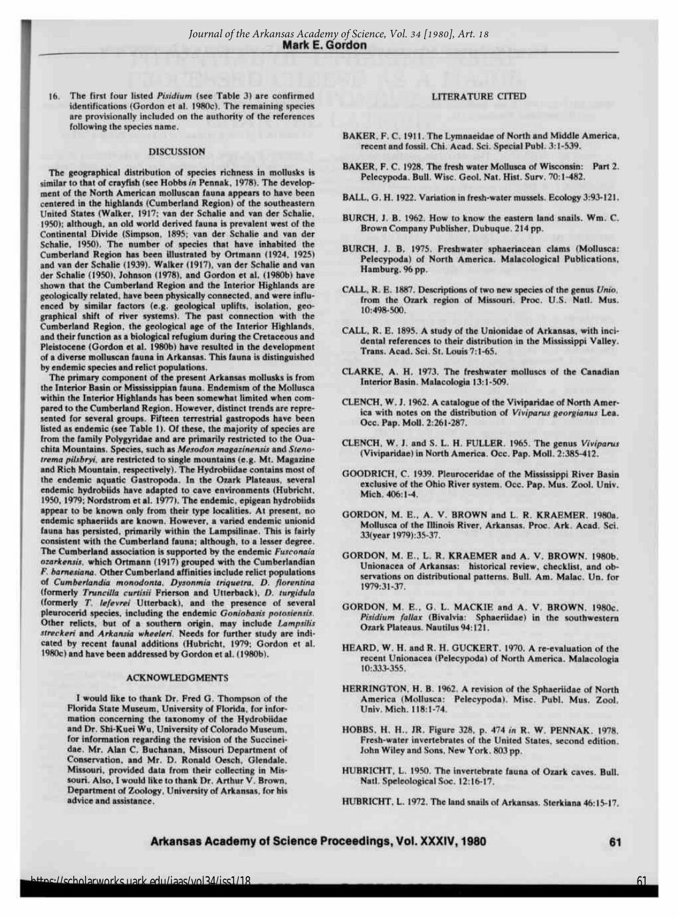16. The first four listed Pisidium (see Table 3) are confirmed identifications (Gordon et al. 1980c). The remaining species are provisionally included on the authority of the references following the species name.

#### **DISCUSSION**

The geographical distribution of species richness in mollusks is similar to that of crayfish (see Hobbs in Pennak, 1978). The development of the North American molluscan fauna appears to have been centered in the highlands (Cumberland Region) of the southeastern United States (Walker, 1917; van der Schalie and van der Schalie, 1950); although, an old world derived fauna is prevalent west of the 1950); although, an old world derived fauna is prevalent west of the<br>Continental Divide (Simpson, 1895; van der Schalie and van der<br>Schalie 1950). The number of species that have inhabited the Schalie, 1950). The number of species that have inhabited the Cumberland Region has been illustrated by Ortmann (1924, 1925) (Cumberland Region has been illustrated by Ortmann (1924, 1925) and van der Schalie (1939). Walker (1917), van der Schalie and van der Schalie (1950), Johnson (1978), and Gordon et al. (1980b) have shown that the Cumberland Region and the Interior Highlands are geologically related, have been physically connected, and were influenced by similar factors (e.g. geological uplifts, isolation, geo-graphical shift of river systems). The past connection with the Cumberland Region, the geological age of the Interior Highlands, and their function as a biological refugium during the Cretaceous and Pleistocene (Gordon et al. 1980b) have resulted in the development of<sup>a</sup> diverse molluscan fauna inArkansas. This fauna is distinguished byendemic species and relict populations.

I

I

I

I

I

The primary component of the present Arkansas mollusks is from the Interior Basin or Mississippian fauna. Endemism of the Mollusca within the Interior Highlands has been somewhat limited when compared to the Cumberland Region. However, distinct trends are represented for several groups. Fifteen terrestrial gastropods have been listed as endemic (see Table 1). Of these, the majority of species are from the family Polygyridae and are primarily restricted to the Ouachita Mountains. Species, such as Mesodon magazinensis and Stenotrema pilsbryi, are restricted to single mountains (e.g. Mt. Magazine and Rich Mountain, respectively). The Hydrobiidae contains most of the endemic aquatic Gastropoda. In the Ozark Plateaus, several endemic hydrobiids have adapted to cave environments (Hubricht, 1950, 1979; Nordstrom et al. 1977). The endemic, epigean hydrobiids appear to be known only from their type localities. At present, no endemic sphaeriids are known. However, a varied endemic unionid fauna has persisted, primarily within the Lampsilinae. This is fairly consistent with the Cumberland fauna; although, to a lesser degree. The Cumberland association is supported by the endemic Fusconaia ozarkensis, which Ortmann (1917) grouped with the Cumberlandian F. barnesiana. Other Cumberland affinities include relict populations of Cumberlandia monodonta, Dysonmia triquetra, D. florentina (formerly Truncilla curtisii Frierson and Utterback), D. turgidula (formerly T. lefevrei Utterback), and the presence of several pleurocerid species, including the endemic Goniobasis potosiensis.<br>Other relicts, but of a southern origin, may include Lampsilis streckeri and Arkansia wheeleri. Needs for further study are indicated by recent faunal additions (Hubricht, 1979; Gordon et al. 1980c) and have been addressed byGordon et al. (1980b).

#### ACKNOWLEDGMENTS

Iwould like to thank Dr. Fred G. Thompson of the Florida State Museum, University of Florida, for information concerning the taxonomy of the Hydrobiidae and Dr.Shi-Kuei Wu, University of Colorado Museum, for information regarding the revision of the Succineidae. Mr. Alan C. Buchanan, Missouri Department of Conservation, and Mr. D. Ronald Oesch, Glendale, Missouri, provided data from their collecting in Misdae. Mr. Alan C. Buchanan, Missouri Department of Conservation, and Mr. D. Ronald Oesch, Glendale.<br>Missouri. provided data from their collecting in Missouri.<br>Nouri. Also, I would like to thank Dr. Arthur V. Brown,<br>Departme Department of Zoology, University of Arkansas, forhis advice and assistance.

#### LITERATURE CITED

- BAKER,F.C. 1911. The Lymnaeidae of Northand Middle America, recent and fossil. Chi. Acad. Sci. Special Publ. 3:1-539.
- BAKER,F.C. 1928. The fresh water Mollusca of Wisconsin: Part 2. Pelecypoda. Bull.Wise. Geol. Nat. Hist. Surv. 70:1-482.
- BALL, G. H. 1922. Variation in fresh-water mussels. Ecology 3:93-121.
- BURCH, J. B. 1962. How to know the eastern land snails. Wm. C. Brown Company Publisher, Dubuque. 214 pp.
- BURCH, J. B. 1975. Freshwater sphaeriacean clams (Mollusca: Pelecypoda) of North America. Malacological Publications, Hamburg. 96 pp.
- CALL, R. E. 1887. Descriptions of two new species of the genus Unio, from the Ozark region of Missouri. Proc. U.S. Natl. Mus. 10:498-500.
- CALL, R. E. 1895. A study of the Unionidae of Arkansas, with incidental references to their distribution in the Mississippi Valley. Trans. Acad. Sci. St. Louis 7:1-65.
- CLARKE, A. H. 1973. The freshwater molluscs of the Canadian Interior Basin. Malacologia 13:1-509.
- CLENCH, W. J. 1962. A catalogue of the Viviparidae of North America with notes on the distribution of Viviparus georgianus Lea. Occ. Pap. Moll.2:261-287.
- CLENCH, W. J. and S. L.H. FULLER. 1965. The genus Viviparus (Viviparidae) in North America. Occ. Pap. Moll. 2:385-412.
- GOODRICH, C. 1939. Pleuroceridae of the Mississippi River Basin exclusive of the Ohio River system. Occ. Pap. Mus. Zool. Univ. Mich. 406:1-4.
- GORDON, M. E., A. V.BROWN and L.R. KRAEMER. 1980a. Mollusca of the Illinois River, Arkansas. Proc. Ark. Acad. Sci. 33(year 1979):35-37.
- GORDON, M.E.. L.R. KRAEMER and A. V.BROWN. 1980b. Unionacea of Arkansas: historical review, checklist, and observations on distributional patterns. Bull.Am. Malac. Un. for 1979:31-37.
- GORDON, M. E., G. L. MACKIE and A. V. BROWN. 1980c. Pisidium fallax (Bivalvia: Sphaeriidae) in the southwestern Ozark Plateaus. Nautilus 94:121 .
- HEARD, W. H. and R. H. GUCKERT. 1970. A re-evaluation of the recent Unionacea (Pelecypoda) of North America. Malacologia 10:333-355.
- HERRINGTON, H. B. 1962. A revision of the Sphaeriidae of North America (Mollusca: Pelecypoda). Misc. Publ. Mus. Zool. Univ.Mich. 118:1-74.
- HOBBS, H. H., JR. Figure 328, p. <sup>474</sup> in R. W. PENNAK. 1978. Fresh-water invertebrates of the United States, second edition. John Wiley and Sons, New York.803 pp.
- HUBRICHT, L. 1950. The invertebrate fauna of Ozark caves. Bull. Natl. Speleological Soc. 12:16-17.
- HUBRICHT, L. 1972. The land snails of Arkansas. Sterkiana 46:15-17.

Arkansas Academy of Science Proceedings, Vol. XXXIV, 1980 61